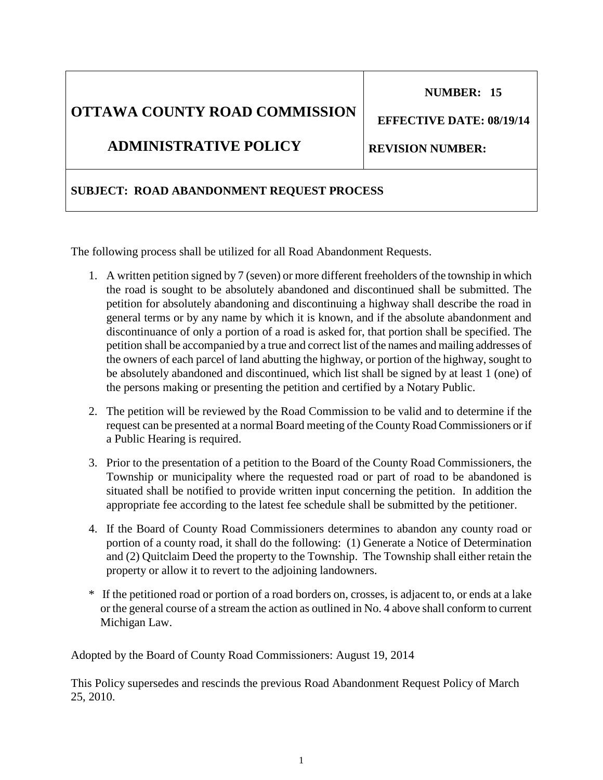# **OTTAWA COUNTY ROAD COMMISSION**

## **ADMINISTRATIVE POLICY**

## **SUBJECT: ROAD ABANDONMENT REQUEST PROCESS**

The following process shall be utilized for all Road Abandonment Requests.

- 1. A written petition signed by 7 (seven) or more different freeholders of the township in which the road is sought to be absolutely abandoned and discontinued shall be submitted. The petition for absolutely abandoning and discontinuing a highway shall describe the road in general terms or by any name by which it is known, and if the absolute abandonment and discontinuance of only a portion of a road is asked for, that portion shall be specified. The petition shall be accompanied by a true and correct list of the names and mailing addresses of the owners of each parcel of land abutting the highway, or portion of the highway, sought to be absolutely abandoned and discontinued, which list shall be signed by at least 1 (one) of the persons making or presenting the petition and certified by a Notary Public.
- 2. The petition will be reviewed by the Road Commission to be valid and to determine if the request can be presented at a normal Board meeting of the County Road Commissioners or if a Public Hearing is required.
- 3. Prior to the presentation of a petition to the Board of the County Road Commissioners, the Township or municipality where the requested road or part of road to be abandoned is situated shall be notified to provide written input concerning the petition. In addition the appropriate fee according to the latest fee schedule shall be submitted by the petitioner.
- 4. If the Board of County Road Commissioners determines to abandon any county road or portion of a county road, it shall do the following: (1) Generate a Notice of Determination and (2) Quitclaim Deed the property to the Township. The Township shall either retain the property or allow it to revert to the adjoining landowners.
- \* If the petitioned road or portion of a road borders on, crosses, is adjacent to, or ends at a lake or the general course of a stream the action as outlined in No. 4 above shall conform to current Michigan Law.

Adopted by the Board of County Road Commissioners: August 19, 2014

This Policy supersedes and rescinds the previous Road Abandonment Request Policy of March 25, 2010.

 **EFFECTIVE DATE: 08/19/14**

**REVISION NUMBER:** 

 **NUMBER: 15**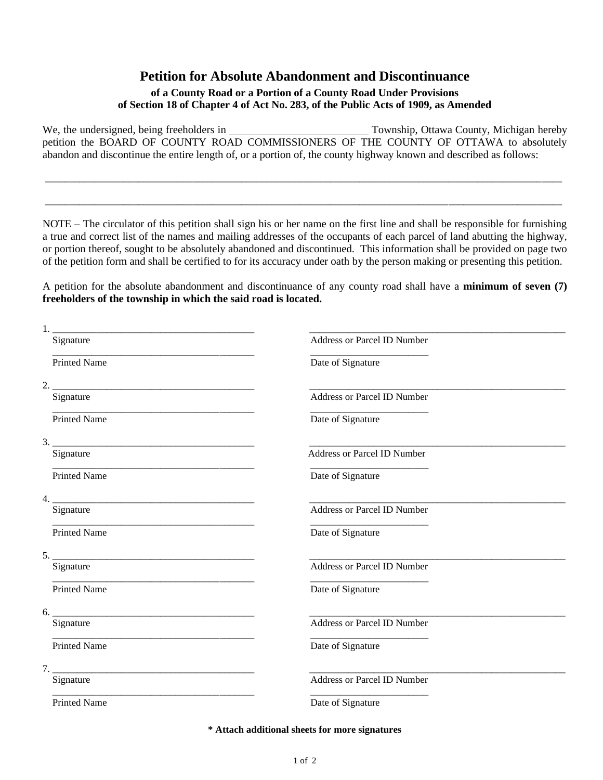### **Petition for Absolute Abandonment and Discontinuance**

#### **of a County Road or a Portion of a County Road Under Provisions of Section 18 of Chapter 4 of Act No. 283, of the Public Acts of 1909, as Amended**

We, the undersigned, being freeholders in Township, Ottawa County, Michigan hereby petition the BOARD OF COUNTY ROAD COMMISSIONERS OF THE COUNTY OF OTTAWA to absolutely abandon and discontinue the entire length of, or a portion of, the county highway known and described as follows:

\_\_\_\_\_\_\_\_\_\_\_\_\_\_\_\_\_\_\_\_\_\_\_\_\_\_\_\_\_\_\_\_\_\_\_\_\_\_\_\_\_\_\_\_\_\_\_\_\_\_\_\_\_\_\_\_\_\_\_\_\_\_\_\_\_\_\_\_\_\_\_\_\_\_\_\_\_\_\_\_\_\_\_\_\_\_\_\_\_\_\_\_\_\_\_\_\_\_\_\_\_\_\_\_\_

\_\_\_\_\_\_\_\_\_\_\_\_\_\_\_\_\_\_\_\_\_\_\_\_\_\_\_\_\_\_\_\_\_\_\_\_\_\_\_\_\_\_\_\_\_\_\_\_\_\_\_\_\_\_\_\_\_\_\_\_\_\_\_\_\_\_\_\_\_\_\_\_\_\_\_\_\_\_\_\_\_\_\_\_\_\_\_\_\_\_\_\_\_\_\_\_\_\_\_\_\_\_\_\_\_

NOTE – The circulator of this petition shall sign his or her name on the first line and shall be responsible for furnishing a true and correct list of the names and mailing addresses of the occupants of each parcel of land abutting the highway, or portion thereof, sought to be absolutely abandoned and discontinued. This information shall be provided on page two of the petition form and shall be certified to for its accuracy under oath by the person making or presenting this petition.

A petition for the absolute abandonment and discontinuance of any county road shall have a **minimum of seven (7) freeholders of the township in which the said road is located.**

| Signature                                                                        | Address or Parcel ID Number        |  |  |
|----------------------------------------------------------------------------------|------------------------------------|--|--|
| <b>Printed Name</b>                                                              | Date of Signature                  |  |  |
| 2.<br>the control of the control of the control of the control of the control of |                                    |  |  |
| Signature                                                                        | Address or Parcel ID Number        |  |  |
| Printed Name                                                                     | Date of Signature                  |  |  |
| 3.                                                                               |                                    |  |  |
| Signature                                                                        | <b>Address or Parcel ID Number</b> |  |  |
| <b>Printed Name</b>                                                              | Date of Signature                  |  |  |
|                                                                                  |                                    |  |  |
| Signature                                                                        | <b>Address or Parcel ID Number</b> |  |  |
| <b>Printed Name</b>                                                              | Date of Signature                  |  |  |
| $5.$ $-$                                                                         |                                    |  |  |
| Signature                                                                        | Address or Parcel ID Number        |  |  |
| <b>Printed Name</b>                                                              | Date of Signature                  |  |  |
| 6.                                                                               |                                    |  |  |
| Signature                                                                        | Address or Parcel ID Number        |  |  |
| <b>Printed Name</b>                                                              | Date of Signature                  |  |  |
|                                                                                  |                                    |  |  |
| Signature                                                                        | Address or Parcel ID Number        |  |  |
| <b>Printed Name</b>                                                              | Date of Signature                  |  |  |
|                                                                                  |                                    |  |  |

**\* Attach additional sheets for more signatures**